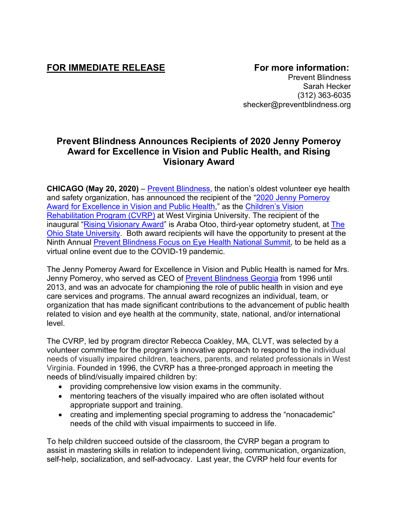## FOR IMMEDIATE RELEASE **FOR IMMEDIATE RELEASE**

Prevent Blindness Sarah Hecker (312) 363-6035 shecker@preventblindness.org

## **Prevent Blindness Announces Recipients of 2020 Jenny Pomeroy Award for Excellence in Vision and Public Health, and Rising Visionary Award**

**CHICAGO (May 20, 2020)** – **Prevent Blindness**, the nation's oldest volunteer eye health and safety organization, has announced the recipient of the "2020 [Jenny Pomeroy](https://preventblindness.org/jenny-pomeroy-award-for-excellence-in-vision-and-public-health/)  [Award for Excellence in Vision and Public Health,](https://preventblindness.org/jenny-pomeroy-award-for-excellence-in-vision-and-public-health/)" as the [Children's Vision](https://medicine.hsc.wvu.edu/eye/outreach/childrens-vision-rehabilitation-program-cvrp/)  [Rehabilitation Program](https://medicine.hsc.wvu.edu/eye/outreach/childrens-vision-rehabilitation-program-cvrp/) (CVRP) at West Virginia University. The recipient of the inaugural ["Rising Visionary Award"](https://preventblindness.org/rising-visionary-award/) is Araba Otoo, third-year optometry student, at [The](https://optometry.osu.edu/)  [Ohio State University.](https://optometry.osu.edu/) Both award recipients will have the opportunity to present at the Ninth Annual [Prevent Blindness Focus on Eye Health National Summit,](https://preventblindness.org/events/focus-on-eye-health-national-summit-2020/) to be held as a virtual online event due to the COVID-19 pandemic.

The Jenny Pomeroy Award for Excellence in Vision and Public Health is named for Mrs. Jenny Pomeroy, who served as CEO of [Prevent Blindness Georgia](https://georgia.preventblindness.org/) from 1996 until 2013, and was an advocate for championing the role of public health in vision and eye care services and programs. The annual award recognizes an individual, team, or organization that has made significant contributions to the advancement of public health related to vision and eye health at the community, state, national, and/or international level.

The CVRP, led by program director Rebecca Coakley, MA, CLVT, was selected by a volunteer committee for the program's innovative approach to respond to the individual needs of visually impaired children, teachers, parents, and related professionals in West Virginia. Founded in 1996, the CVRP has a three-pronged approach in meeting the needs of blind/visually impaired children by:

- providing comprehensive low vision exams in the community.
- mentoring teachers of the visually impaired who are often isolated without appropriate support and training.
- creating and implementing special programing to address the "nonacademic" needs of the child with visual impairments to succeed in life.

To help children succeed outside of the classroom, the CVRP began a program to assist in mastering skills in relation to independent living, communication, organization, self-help, socialization, and self-advocacy. Last year, the CVRP held four events for